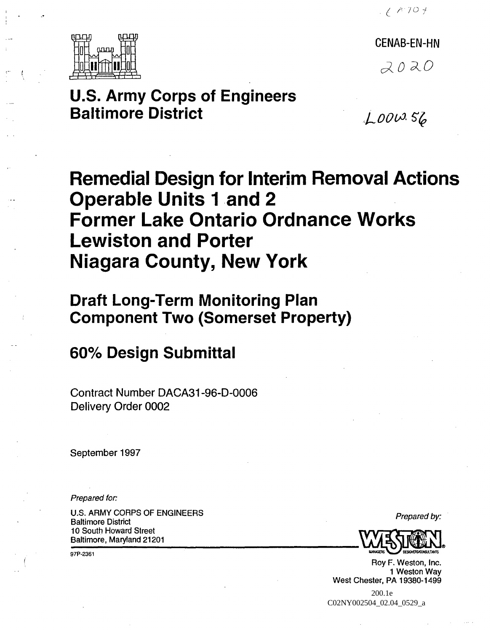$26707$ 



CENAB-EN-HN  $2020$ 

## **u.s. Army Corps of Engineers Baltimore District**

 $6000.56$ 

# **Remedial Design for Interim Removal Actions Operable Units** 1 and **2 Former Lake Ontario Ordnance Works Lewiston and Porter Niagara County, New York**

## **Draft Long-Term Monitoring Plan Component Two (Somerset Property)**

## **600/0 Design Submittal**

Contract Number DACA31-96-0-0006 Delivery Order 0002

September 1997

Prepared for:

U.S. ARMY CORPS OF ENGINEERS U.S. ANNIT CONFISION ENGINEERS<br>Baltimore District Prepared by: Baltimore, Maryland 21201 10 South Howard Street **---------------**

97P-2361



Roy F. Weston, Inc. 1 Weston Way West Chester, PA 19380-1499

 200.1e C02NY002504\_02.04\_0529\_a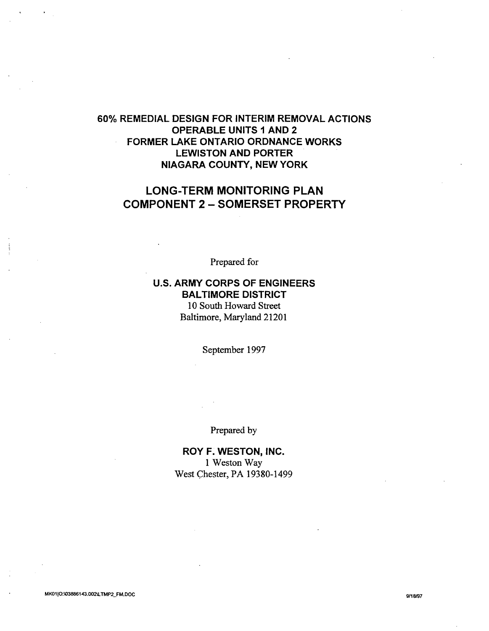### 60% REMEDIAL DESIGN FOR INTERIM REMOVAL ACTIONS OPERABLE UNITS 1 AND 2 FORMER LAKE ONTARIO ORDNANCE WORKS LEWISTON AND PORTER NIAGARA COUNTY, NEW YORK

## LONG-TERM MONITORING PLAN COMPONENT 2 - SOMERSET PROPERTY

Prepared for

## U.S. ARMY CORPS OF ENGINEERS BALTIMORE DISTRICT 10 South Howard Street Baltimore, Maryland 21201

September 1997

Prepared by

ROY F. WESTON, INC. 1 Weston Way West Chester, PA 19380-1499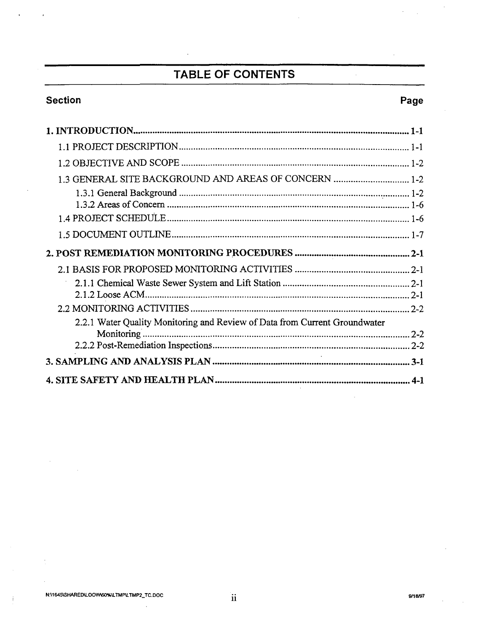## TABLE OF CONTENTS

 $\ddot{\phantom{a}}$ 

## **Section**

 $\ddot{\phantom{0}}$ 

 $\cdot$ 

## Page

 $\bar{\mathcal{A}}$ 

÷.

| 1.3 GENERAL SITE BACKGROUND AND AREAS OF CONCERN  1-2                      |
|----------------------------------------------------------------------------|
|                                                                            |
|                                                                            |
|                                                                            |
|                                                                            |
|                                                                            |
|                                                                            |
|                                                                            |
| 2.2.1 Water Quality Monitoring and Review of Data from Current Groundwater |
|                                                                            |
|                                                                            |
|                                                                            |
|                                                                            |

 $\bar{\lambda}$ 

 $\mathcal{L}^{\mathcal{A}}$ 

 $\frac{1}{2}$ 

 $\mathbf{i}$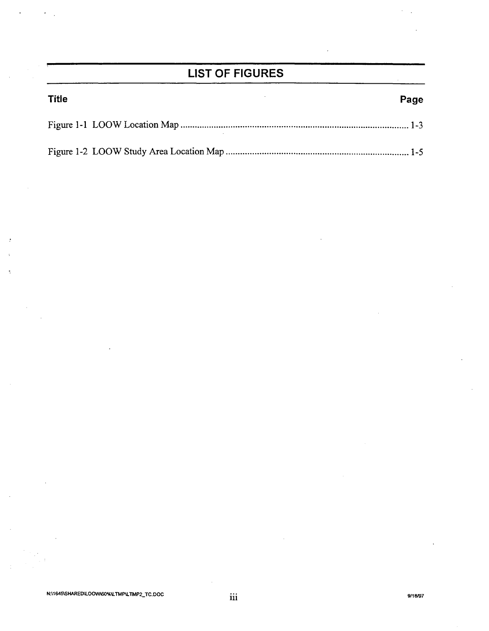## **LIST OF FIGURES**

| <b>Title</b> | Page |
|--------------|------|
|              |      |
|              |      |

d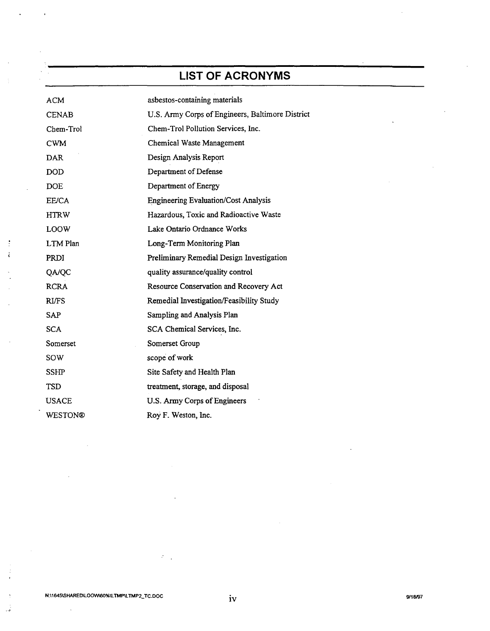## **LIST OF ACRONYMS**

| ACM          | asbestos-containing materials                    |
|--------------|--------------------------------------------------|
| <b>CENAB</b> | U.S. Army Corps of Engineers, Baltimore District |
| Chem-Trol    | Chem-Trol Pollution Services, Inc.               |
| <b>CWM</b>   | Chemical Waste Management                        |
| <b>DAR</b>   | Design Analysis Report                           |
| <b>DOD</b>   | Department of Defense                            |
| <b>DOE</b>   | Department of Energy                             |
| EE/CA        | <b>Engineering Evaluation/Cost Analysis</b>      |
| <b>HTRW</b>  | Hazardous, Toxic and Radioactive Waste           |
| LOOW         | Lake Ontario Ordnance Works                      |
| LTM Plan     | Long-Term Monitoring Plan                        |
| <b>PRDI</b>  | Preliminary Remedial Design Investigation        |
| QA/QC        | quality assurance/quality control                |
| <b>RCRA</b>  | Resource Conservation and Recovery Act           |
| <b>RI/FS</b> | Remedial Investigation/Feasibility Study         |
| <b>SAP</b>   | Sampling and Analysis Plan                       |
| <b>SCA</b>   | SCA Chemical Services, Inc.                      |
| Somerset     | Somerset Group                                   |
| sow          | scope of work                                    |
| SSHP         | Site Safety and Health Plan                      |
| <b>TSD</b>   | treatment, storage, and disposal                 |
| <b>USACE</b> | U.S. Army Corps of Engineers                     |
| WESTON®      | Roy F. Weston, Inc.                              |

 $\mathcal{E}^{(1)}$  .

 $\ddot{\phantom{a}}$ 

÷  $\ddot{i}$ 

ر<br>ف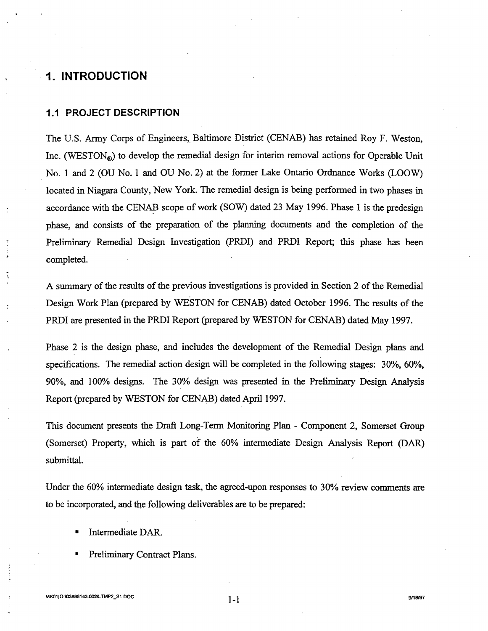## **1. INTRODUCTION**

#### **1.1 PROJECT DESCRIPTION**

The U.S. Army Corps of Engineers, Baltimore District (CENAB) has retained Roy F. Weston, Inc. (WESTON®) to develop the remedial design for interim removal actions for Operable Unit No. 1 and 2 (OU No.1 and OU No.2) at the former Lake Ontario Ordnance Works (LOOW) located in Niagara County, New York. The remedial design is being performed in two phases in accordance with the CENAB scope of work (SOW) dated 23 May 1996. Phase 1 is the predesign phase, and consists of the preparation of the planning documents and the completion of the Preljmjnary Remedial Design Investigation (PRDI) and PRDI Report; this phase has been completed.

A summary of the results of the previous investigations is provided in Section 2 of the Remedial Design Work Plan (prepared by WESTON for CENAB) dated October 1996. The results of the PRDI are presented in the PRDI Report (prepared by WESTON for CENAB) dated May 1997.

Phase 2 is the design phase, and includes the development of the Remedial Design plans and specifications. The remedial action design will be completed in the following stages: 30%, 60%, 90%, and 100% designs. The 30% design was presented in the Preliminary Design Analysis Report (prepared by WESTON for CENAB) dated April 1997.

This document presents the Draft Long-Term Monitoring Plan - Component 2, Somerset Group (Somerset) Property, which is part of the 60% intermediate Design Analysis Report (DAR) submittal.

Under the 60% intermediate design task, the agreed-upon responses to 30% review comments are to be incorporated, and the following deliverables are to be prepared:

- Intermediate DAR.
- Preliminary Contract Plans.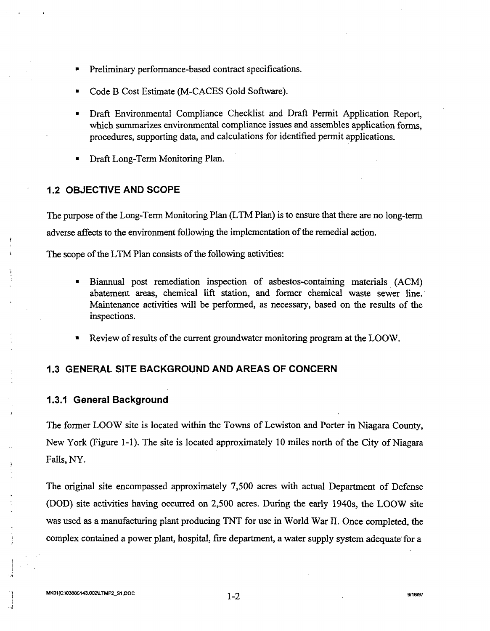- Preliminary performance-based contract specifications.
- Code B Cost Estimate (M-CACES Gold Software).
- Draft Environmental Compliance Checklist and Draft Permit Application Report, which summarizes environmental compliance issues and assembles application forms. procedures, supporting data, and calculations for identified permit applications.
- Draft Long-Term Monitoring Plan.

#### **1.2 OBJECTIVE AND SCOPE**

The purpose of the Long-Term Monitoring Plan (LTM Plan) is to ensure that there are no long-term adverse affects to the environment following the implementation of the remedial action.

The scope of the LTM Plan consists of the following activities:

- Biannual post remediation inspection of asbestos-containing materials (ACM) abatement areas, chemical lift station, and former chemical waste sewer line.' Maintenance activities will be performed, as necessary, based on the results of the inspections.
- Review of results of the current groundwater monitoring program at the LOOW.

#### **1.3 GENERAL SITE BACKGROUND AND AREAS OF CONCERN**

#### **1.3.1 General Background**

The former LOOW site is located within the Towns of Lewiston and Porter in Niagara County, New York (Figure 1-1). The site is located approximately 10 miles north of the City of Niagara Falls, NY.

The original site encompassed approximately 7,500 acres with actual Department of Defense (DOD) site activities having occurred on 2,500 acres. During the early 1940s, the LOOW site was used as a manufacturing plant producing TNT for use in World War II. Once completed, the complex contained a power plant, hospital, fire department, a water supply system adequate' for a

. t ! .~

 $\mathbf{r}$  $\ddotsc$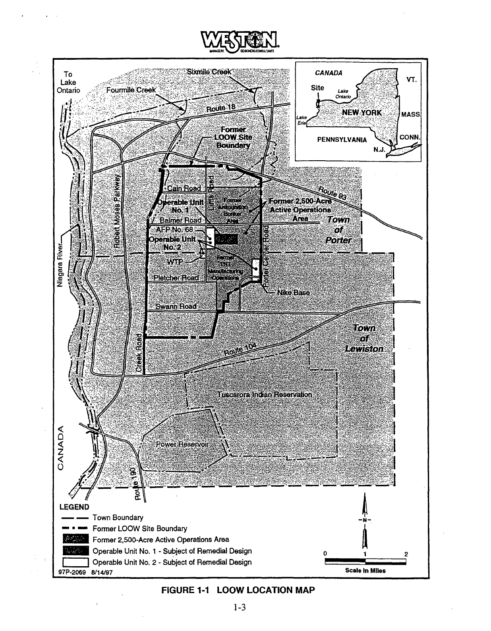



### **FIGURE 1-1 LOOW LOCATION MAP**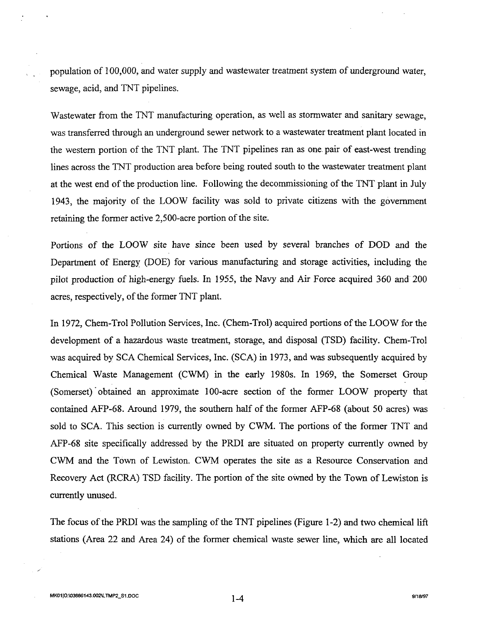population of 100,000, and water supply and wastewater treatment system of underground water, sewage, acid, and TNT pipelines.

Wastewater from the TNT manufacturing operation, as well as stormwater and sanitary sewage, was transferred through an underground sewer network to a wastewater treatment plant located in the western portion of the TNT plant. The TNT pipelines ran as one pair of east-west trending lines across the TNT production area before being routed south to the wastewater treatment plant at the west end of the production line. Following the decommissioning of the TNT plant in July 1943, the majority of the LOOW facility was sold to private citizens with the government retaining the former active 2,500-acre portion of the site.

Portions of the LOOW site have since been used by several branches of DOD and the Department of Energy (DOE) for various manufacturing and storage activities, including the pilot production of high-energy fuels. In 1955, the Navy and Air Force acquired 360 and 200 acres, respectively, of the former TNT plant.

In 1972, Chem-Trol Pollution Services, Inc. (Chem-Trol) acquired portions of the LOOW for the development of a hazardous waste treatment, storage, and disposal (TSD) facility. Chem-Trol was acquired by SCA Chemical Services, Inc. (SCA) in 1973, and was subsequently acquired by Chemical Waste Management (CWM) in the early 1980s. In 1969, the Somerset Group (Somerset) obtained an approximate 100-acre section of the former LOOW property that contained AFP-68. Around 1979, the southern half of the former AFP-68 (about 50 acres) was sold to SCA. This section is currently owned by CWM. The portions of the former TNT and AFP-68 site specifically addressed by the PRDI are situated on property currently owned by CWM and the Town of Lewiston. CWM operates the site as a Resource Conservation and Recovery Act (RCRA) TSD facility. The portion of the site owned by the Town of Lewiston is currently unused.

The focus of the PRDI was the sampling of the TNT pipelines (Figure 1-2) and two chemical lift stations (Area 22 and Area 24) of the former chemical waste sewer line, which are all located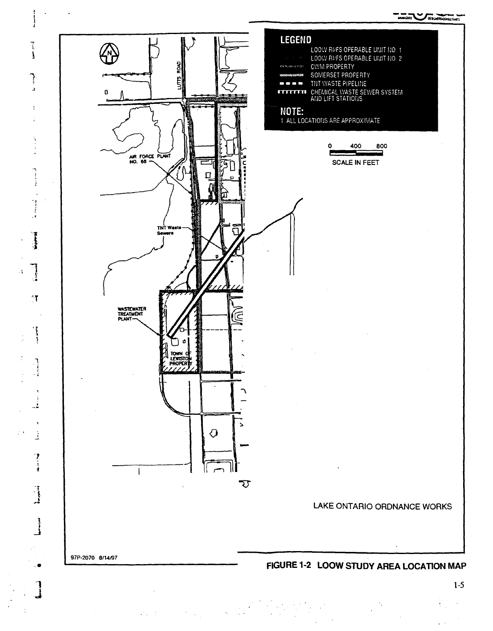--~"-",....~ ....... Ut.IMQAS ~ DE~,.u«s



 $\frac{1}{2}$ 

"

; "

Ĵ

ŧ

ţ

٦

 $\cdot$ 

।<br>विश्वविद्यालय

1, ',.a

"T

់{ុំ

1 i ,  $\cdot$   $\cdot$ 

•

,

',1 . i

,-\ , .,.

!  $\overline{\mathbf{I}}$ 

". '1 j

1-5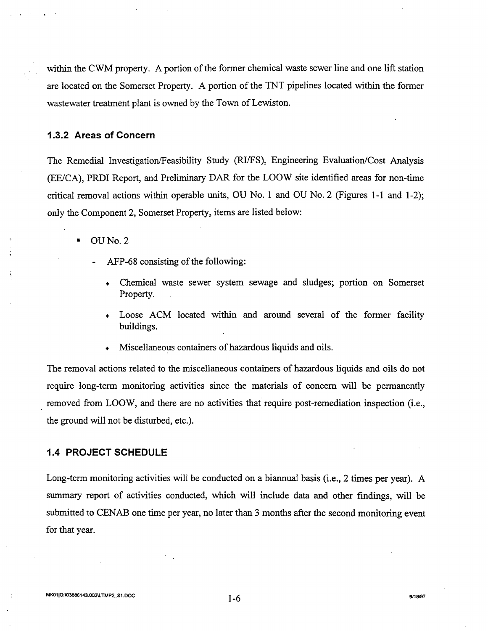within the CWM property. A portion of the former chemical waste sewer line and one lift station are located on the Somerset Property. A portion of the TNT pipelines located within the former wastewater treatment plant is owned by the Town of Lewiston.

#### **1.3.2 Areas of Concern**

The Remedial Investigation/Feasibility Study (RI/FS), Engineering Evaluation/Cost Analysis (EE/CA), PRDI Report, and Preliminary DAR for the LOOW site identified areas for non-time critical removal actions within operable units, OU No. 1 and OU No.2 (Figures 1-1 and 1-2); only the Component 2, Somerset Property, items are listed below:

- OUNo.2
	- AFP-68 consisting of the following:
		- Chemical waste sewer system sewage and sludges; portion on Somerset Property.
		- Loose ACM located within and around several of the former facility buildings.
		- Miscellaneous containers of hazardous liquids and oils.

The removal actions related to the miscellaneous containers of hazardous liquids and oils do not require long-term monitoring activities since the materials of concern will be permanently removed from LOOW, and there are no activities that require post-remediation inspection (i.e., the ground will not be disturbed, etc.).

#### **1.4 PROJECT SCHEDULE**

Long-term monitoring activities will be conducted on a biannual basis (i.e., 2 times per year). A summary report of activities conducted, which will include data and other findings, will be submitted to CENAB one time per year, no later than 3 months after the second monitoring event for that year.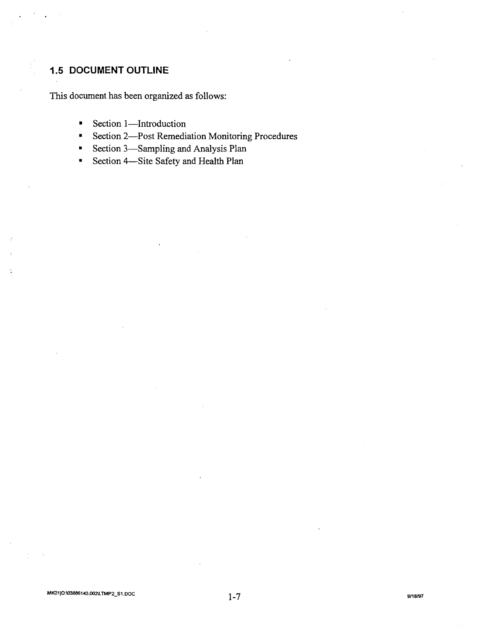## **1.5 DOCUMENT OUTLINE**

This document has been organized as follows:

- Section 1-Introduction
- Section 2-Post Remediation Monitoring Procedures
- Section 3-Sampling and Analysis Plan
- Section 4-Site Safety and Health Plan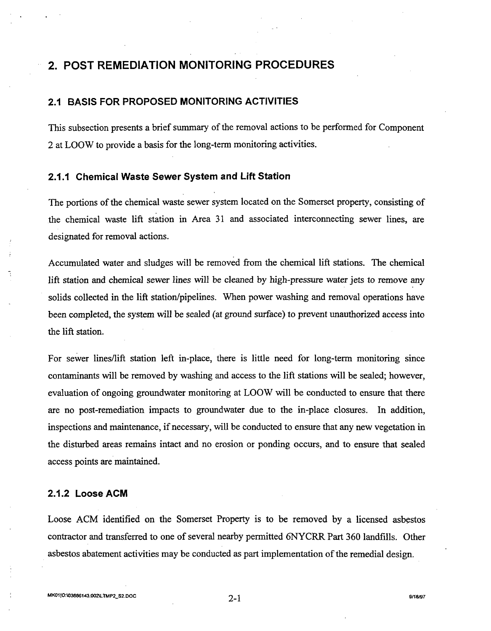## **2. POST REMEDIATION MONITORING PROCEDURES**

#### **2.1 BASIS FOR PROPOSED MONITORING ACTIVITIES**

This subsection presents a brief summary of the removal actions to be performed for Component 2 at LOOW to provide a basis for the long-term monitoring activities.

### **2.1.1 Chemical Waste Sewer System and Lift Station**

The portions of the chemical waste sewer system located on the Somerset property, consisting of the chemical waste lift station in Area 31 and associated interconnecting sewer lines, are designated for removal actions.

Accumulated water and sludges will be removed from the chemical lift stations. The chemical lift station and chemical sewer lines will be cleaned by high-pressure water jets to remove any solids collected in the lift station/pipelines. When power washing and removal operations have been completed, the system will be sealed (at ground surface) to prevent unauthorized access into the lift station.

For sewer lines/lift station left in-place, there is little need for long-term monitoring since contaminants will be removed by washing and access to the lift stations will be sealed; however, evaluation of ongoing groundwater monitoring at LOOW will be conducted to ensure that there are no post-remediation impacts to groundwater due to the in-place closures. In addition, inspections and maintenance, if necessary, will be conducted to ensure that any new vegetation in the disturbed areas remains intact and no erosion or ponding occurs, and to ensure that sealed access points are maintained.

#### **2.1.2 Loose ACM**

Loose ACM identified on the Somerset Property is to be removed by a licensed asbestos contractor and transferred to one of several nearby pennitted 6NYCRR Part 360 landfills. Other asbestos abatement activities may be conducted as part implementation of the remedial design.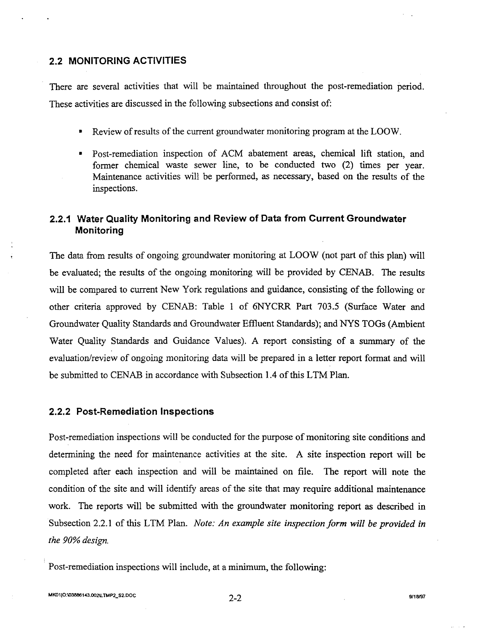#### **2.2 MONITORING ACTIVITIES**

There are several activities that will be maintained throughout the post-remediation period. These activities are discussed in the following subsections and consist of:

- Review of results of the current groundwater monitoring program at the LOOW.
- Post-remediation inspection of ACM abatement areas, chemical lift station, and former chemical waste sewer line, to be conducted two (2) times per year. Maintenance activities will be performed, as necessary, based on the results of the inspections.

### **2.2.1 Water Quality Monitoring and Review of Data from Current Groundwater Monitoring**

The data from results of ongoing groundwater monitoring at LOOW (not part of this plan) will be evaluated; the results of the ongoing monitoring will be provided by CENAB. The results will be compared to current New York regulations and guidance, consisting of the following or other criteria approved by CENAB: Table 1 of 6NYCRR Part 703.5 (Surface Water and Groundwater Quality Standards and Groundwater Effluent Standards); and NYS TOGs (Ambient Water Quality Standards and Guidance Values). A report consisting of a summary of the evaluation/review of ongoing monitoring data will be prepared in a letter report format and will be submitted to CENAB in accordance with Subsection 1.4 of this LTM Plan.

#### **2.2.2 Post-Remediation Inspections**

Post-remediation inspections will be conducted for the purpose of monitoring site conditions and detennining the need for maintenance activities at the site. A site inspection report will be completed after each inspection and will be maintained on file. The report will note the condition of the site and will identify areas of the site that may require additional maintenance work. The reports will be submitted with the groundwater monitoring report as described in Subsection 2.2.1 of this LTM Plan. *Note: An example site inspection form will be provided in the 90% design.* 

Post-remediation inspections will include, at a minimum, the following: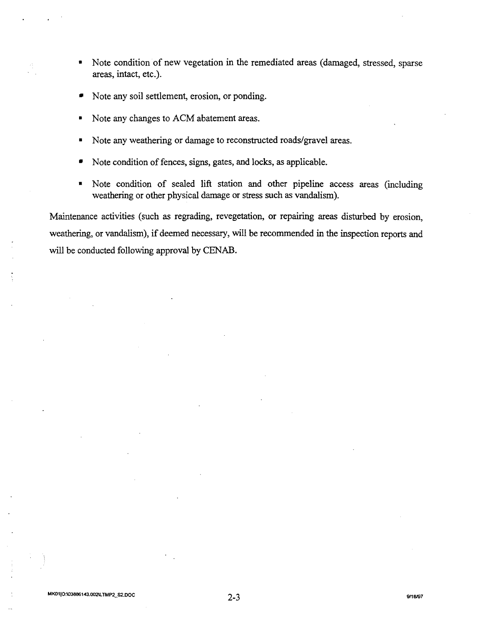- Note condition of new vegetation in the remediated areas (damaged, stressed, sparse areas, intact, etc.).
- Note any soil settlement, erosion, or ponding.
- Note any changes to ACM abatement areas.
- Note any weathering or damage to reconstructed roads/gravel areas.
- Note condition of fences, signs, gates, and locks, as applicable.
- Note condition of sealed lift station and other pipeline access areas (including weathering or other physical damage or stress such as vandalism).

Maintenance activities (such as regrading, revegetation, or repairing areas disturbed by erosion, weathering, or vandalism), if deemed necessary, will be recommended in the inspection reports and will be conducted following approval by CENAB.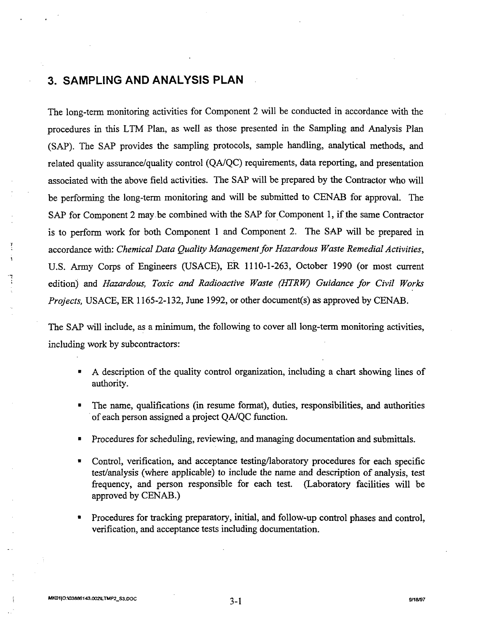## **3. SAMPLING AND ANALYSIS PLAN**

The long-tenn monitoring activities for Component 2 will be conducted in accordance with the procedures in this LTM Plan, as well as those presented in the Sampling and Analysis Plan (SAP). The SAP provides the sampling protocols, sample handling, analytical methods, and related quality assurance/quality control *(QAlQC)* requirements, data reporting, and presentation associated with the above field activities. The SAP will be prepared by the Contractor who will be performing the long-term monitoring and will be submitted to CENAB for approval. The SAP for Component 2 may be combined with the SAP for Component 1, if the same Contractor is to perform work for both Component 1 and Component 2. The SAP will be prepared in accordance with: *Chemical Data Quality Managementfor Hazardous Waste Remedial Activities,*  U.S. Army Corps of Engineers (USACE), ER 1110-1-263, October 1990 (or most current edition) and *Hazardous, Toxic and Radioactive Waste (HTRW) Guidance for Civil Works Projects,* USACE, ER 1165-2-132, June 1992, or other document(s) as approved by CENAB.

The SAP will include, as a minimum, the following to cover all long-term monitoring activities, including work by subcontractors:

- A description of the quality control organization, including a chart showing lines of authority.
- The name, qualifications (in resume format), duties, responsibilities, and authorities . of each person assigned a project *QAlQC* function.
- Procedures for scheduling, reviewing, and managing documentation and submittals.
- Control, verification, and acceptance testing/laboratory procedures for each specific test/analysis (where applicable) to include the name and description of analysis, test frequency, and person responsible for each test. (Laboratory facilities will be approved by CENAB.)
- Procedures for tracking preparatory, initial, and follow-up control phases and control, verification, and acceptance tests including documentation.

 $\cdot$ .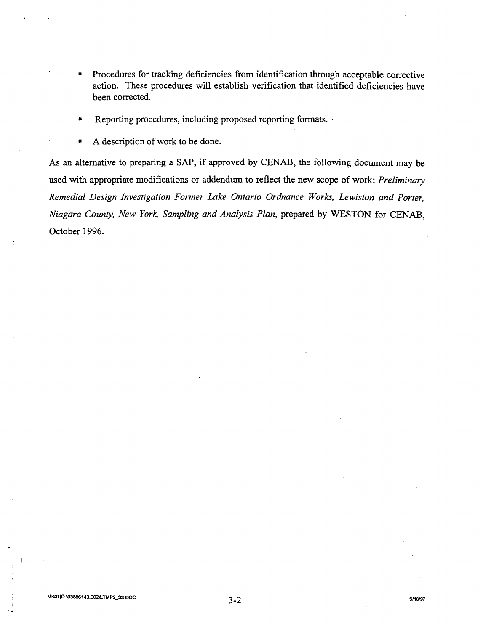- Procedures for tracking deficiencies from identification through acceptable corrective action. These procedures will establish verification that identified deficiencies have been corrected.
- Reporting procedures, including proposed reporting formats. .
- A description of work to be done.

As an alternative to preparing a SAP, if approved by CENAB, the following document may be used with appropriate modifications or addendum to reflect the new scope of work: *Preliminary Remedial Design Investigation Former Lake Ontario Ordnance Works, Lewiston and Porter, Niagara County, New York, Sampling and Analysis Plan,* prepared by WESTON for CENAB, October 1996.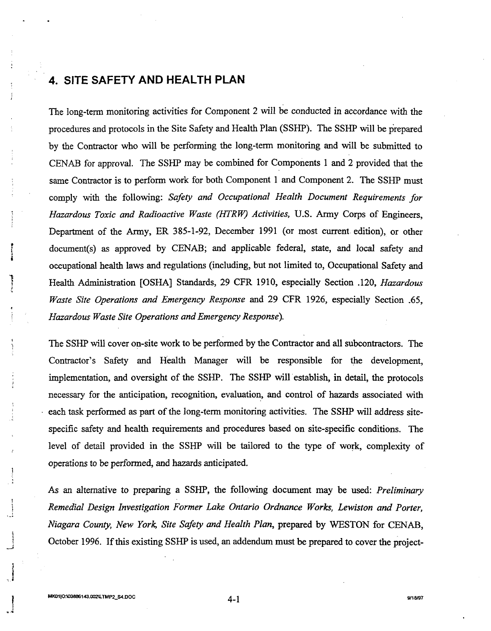## **4. SITE SAFETY AND HEALTH PLAN**

The long-term monitoring activities for Component 2 will be conducted in accordance with the procedures and protocols in the Site Safety and Health Plan (SSHP). The SSHP will be prepared by the Contractor who will be performing the long-term monitoring and will be submitted to CENAB for approval. The SSHP may be combined for Components 1 and 2 provided that the same Contractor is to perform work for both Component 1 and Component 2. The SSHP must comply with the following: *Safety and Occupational Health Document Requirements for Hazardous Toxic and Radioactive Waste (HTRW) Activities,* U.S. Army Corps of Engineers, Department of the Anny, ER 385-1-92, December 1991 (or most current edition), or other document(s) as approved by CENAB; and applicable federal, state, and local safety and occupational health laws and regulations (including, but not limited to, Occupational Safety and Health Administration [OSHA] Standards, 29 CFR 1910, especially Section .120, *Hazardous Waste Site Operations and Emergency Response* and 29 CFR 1926, especially Section .65, *Hazardous Waste Site Operations and Emergency Response).* 

The SSHP will cover on-site work to be performed by the Contractor and all subcontractors. The Contractor's Safety and Health Manager will be responsible for the development, implementation, and oversight of the SSHP. The SSHP will establish, in detail, the protocols necessary for the anticipation, recognition, evaluation, and control of hazards associated with each task performed as part of the long-term monitoring activities. The SSHP will address sitespecific safety and health requirements and procedures based on site-specific conditions. The level of detail provided in the SSHP will be tailored to the type of work, complexity of operations to be performed, and hazards anticipated.

As an alternative to preparing a SSHP, the following document may be used: *Preliminary Remedial Design Investigation Former Lake Ontario Ordnance Works, Lewiston and Porter, Niagara County, New York, Site Safety and Health Plan,* prepared by WESTON for CENAB, October 1996. If this existing SSHP is used, an addendum must be prepared to cover the project-

i

-.

<sup>i</sup>--'

 $\mathbf{I}$ -.1 |<br>|<br>| !<br>! i  $\cdot$ <sup>:</sup>

4-1 *9118197*